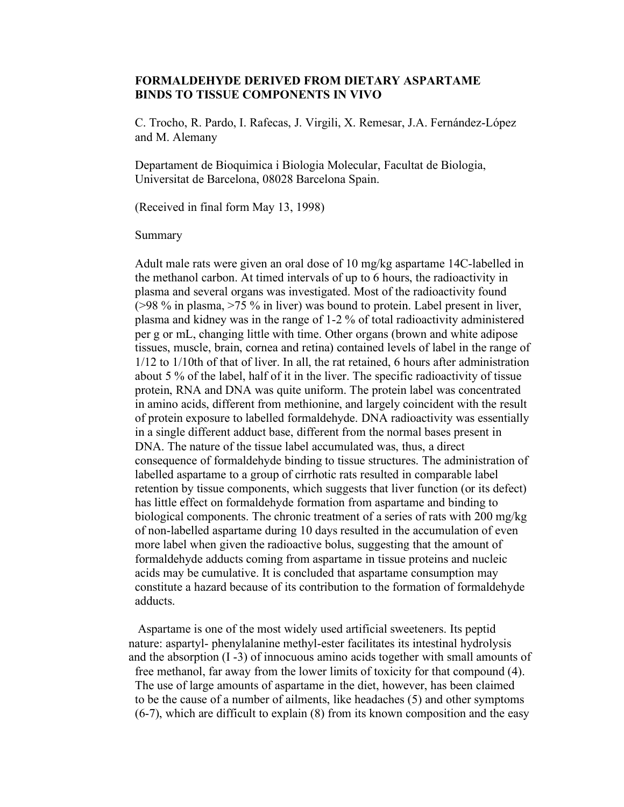## **FORMALDEHYDE DERIVED FROM DIETARY ASPARTAME BINDS TO TISSUE COMPONENTS IN VIVO**

C. Trocho, R. Pardo, I. Rafecas, J. Virgili, X. Remesar, J.A. Fernández-López and M. Alemany

Departament de Bioquimica i Biologia Molecular, Facultat de Biologia, Universitat de Barcelona, 08028 Barcelona Spain.

(Received in final form May 13, 1998)

### Summary

Adult male rats were given an oral dose of 10 mg/kg aspartame 14C-labelled in the methanol carbon. At timed intervals of up to 6 hours, the radioactivity in plasma and several organs was investigated. Most of the radioactivity found  $(>98\%$  in plasma,  $>75\%$  in liver) was bound to protein. Label present in liver, plasma and kidney was in the range of 1-2 % of total radioactivity administered per g or mL, changing little with time. Other organs (brown and white adipose tissues, muscle, brain, cornea and retina) contained levels of label in the range of 1/12 to 1/10th of that of liver. In all, the rat retained, 6 hours after administration about 5 % of the label, half of it in the liver. The specific radioactivity of tissue protein, RNA and DNA was quite uniform. The protein label was concentrated in amino acids, different from methionine, and largely coincident with the result of protein exposure to labelled formaldehyde. DNA radioactivity was essentially in a single different adduct base, different from the normal bases present in DNA. The nature of the tissue label accumulated was, thus, a direct consequence of formaldehyde binding to tissue structures. The administration of labelled aspartame to a group of cirrhotic rats resulted in comparable label retention by tissue components, which suggests that liver function (or its defect) has little effect on formaldehyde formation from aspartame and binding to biological components. The chronic treatment of a series of rats with 200 mg/kg of non-labelled aspartame during 10 days resulted in the accumulation of even more label when given the radioactive bolus, suggesting that the amount of formaldehyde adducts coming from aspartame in tissue proteins and nucleic acids may be cumulative. It is concluded that aspartame consumption may constitute a hazard because of its contribution to the formation of formaldehyde adducts.

Aspartame is one of the most widely used artificial sweeteners. Its peptid nature: aspartyl- phenylalanine methyl-ester facilitates its intestinal hydrolysis and the absorption (I -3) of innocuous amino acids together with small amounts of free methanol, far away from the lower limits of toxicity for that compound (4). The use of large amounts of aspartame in the diet, however, has been claimed to be the cause of a number of ailments, like headaches (5) and other symptoms (6-7), which are difficult to explain (8) from its known composition and the easy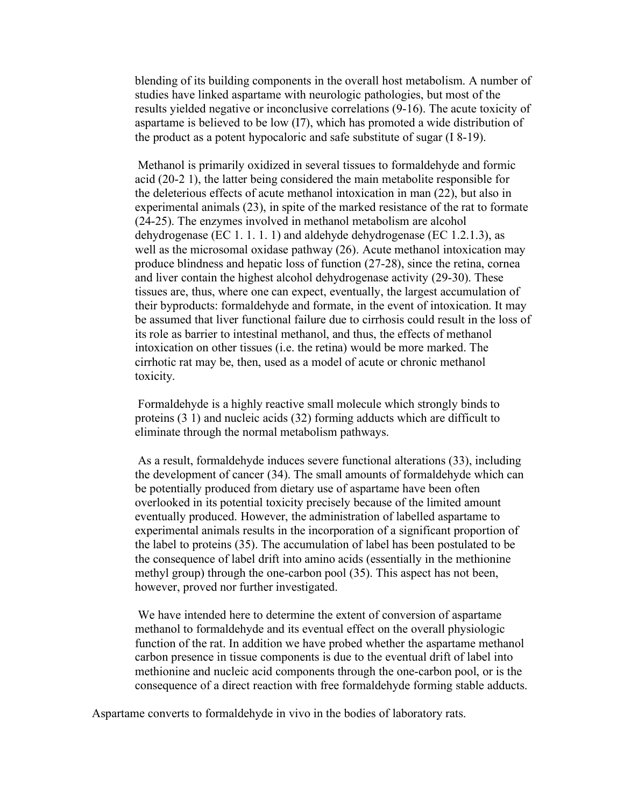blending of its building components in the overall host metabolism. A number of studies have linked aspartame with neurologic pathologies, but most of the results yielded negative or inconclusive correlations (9-16). The acute toxicity of aspartame is believed to be low (I7), which has promoted a wide distribution of the product as a potent hypocaloric and safe substitute of sugar (I 8-19).

Methanol is primarily oxidized in several tissues to formaldehyde and formic acid (20-2 1), the latter being considered the main metabolite responsible for the deleterious effects of acute methanol intoxication in man (22), but also in experimental animals (23), in spite of the marked resistance of the rat to formate (24-25). The enzymes involved in methanol metabolism are alcohol dehydrogenase (EC 1. 1. 1. 1) and aldehyde dehydrogenase (EC 1.2.1.3), as well as the microsomal oxidase pathway (26). Acute methanol intoxication may produce blindness and hepatic loss of function (27-28), since the retina, cornea and liver contain the highest alcohol dehydrogenase activity (29-30). These tissues are, thus, where one can expect, eventually, the largest accumulation of their byproducts: formaldehyde and formate, in the event of intoxication. It may be assumed that liver functional failure due to cirrhosis could result in the loss of its role as barrier to intestinal methanol, and thus, the effects of methanol intoxication on other tissues (i.e. the retina) would be more marked. The cirrhotic rat may be, then, used as a model of acute or chronic methanol toxicity.

Formaldehyde is a highly reactive small molecule which strongly binds to proteins (3 1) and nucleic acids (32) forming adducts which are difficult to eliminate through the normal metabolism pathways.

As a result, formaldehyde induces severe functional alterations (33), including the development of cancer (34). The small amounts of formaldehyde which can be potentially produced from dietary use of aspartame have been often overlooked in its potential toxicity precisely because of the limited amount eventually produced. However, the administration of labelled aspartame to experimental animals results in the incorporation of a significant proportion of the label to proteins (35). The accumulation of label has been postulated to be the consequence of label drift into amino acids (essentially in the methionine methyl group) through the one-carbon pool (35). This aspect has not been, however, proved nor further investigated.

We have intended here to determine the extent of conversion of aspartame methanol to formaldehyde and its eventual effect on the overall physiologic function of the rat. In addition we have probed whether the aspartame methanol carbon presence in tissue components is due to the eventual drift of label into methionine and nucleic acid components through the one-carbon pool, or is the consequence of a direct reaction with free formaldehyde forming stable adducts.

Aspartame converts to formaldehyde in vivo in the bodies of laboratory rats.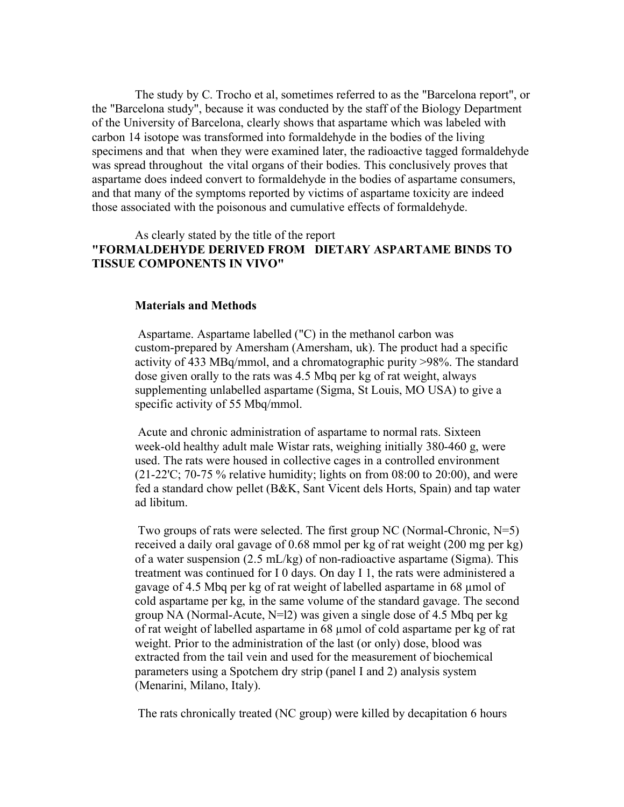The study by C. Trocho et al, sometimes referred to as the "Barcelona report", or the "Barcelona study", because it was conducted by the staff of the Biology Department of the University of Barcelona, clearly shows that aspartame which was labeled with carbon 14 isotope was transformed into formaldehyde in the bodies of the living specimens and that when they were examined later, the radioactive tagged formaldehyde was spread throughout the vital organs of their bodies. This conclusively proves that aspartame does indeed convert to formaldehyde in the bodies of aspartame consumers, and that many of the symptoms reported by victims of aspartame toxicity are indeed those associated with the poisonous and cumulative effects of formaldehyde.

# As clearly stated by the title of the report **"FORMALDEHYDE DERIVED FROM DIETARY ASPARTAME BINDS TO TISSUE COMPONENTS IN VIVO"**

## **Materials and Methods**

Aspartame. Aspartame labelled ("C) in the methanol carbon was custom-prepared by Amersham (Amersham, uk). The product had a specific activity of 433 MBq/mmol, and a chromatographic purity >98%. The standard dose given orally to the rats was 4.5 Mbq per kg of rat weight, always supplementing unlabelled aspartame (Sigma, St Louis, MO USA) to give a specific activity of 55 Mbq/mmol.

Acute and chronic administration of aspartame to normal rats. Sixteen week-old healthy adult male Wistar rats, weighing initially 380-460 g, were used. The rats were housed in collective cages in a controlled environment  $(21-22^{\circ}\text{C}; 70-75\%$  relative humidity; lights on from 08:00 to 20:00), and were fed a standard chow pellet (B&K, Sant Vicent dels Horts, Spain) and tap water ad libitum.

Two groups of rats were selected. The first group NC (Normal-Chronic, N=5) received a daily oral gavage of 0.68 mmol per kg of rat weight (200 mg per kg) of a water suspension (2.5 mL/kg) of non-radioactive aspartame (Sigma). This treatment was continued for I 0 days. On day I 1, the rats were administered a gavage of 4.5 Mbq per kg of rat weight of labelled aspartame in 68 µmol of cold aspartame per kg, in the same volume of the standard gavage. The second group NA (Normal-Acute, N=l2) was given a single dose of 4.5 Mbq per kg of rat weight of labelled aspartame in 68 µmol of cold aspartame per kg of rat weight. Prior to the administration of the last (or only) dose, blood was extracted from the tail vein and used for the measurement of biochemical parameters using a Spotchem dry strip (panel I and 2) analysis system (Menarini, Milano, Italy).

The rats chronically treated (NC group) were killed by decapitation 6 hours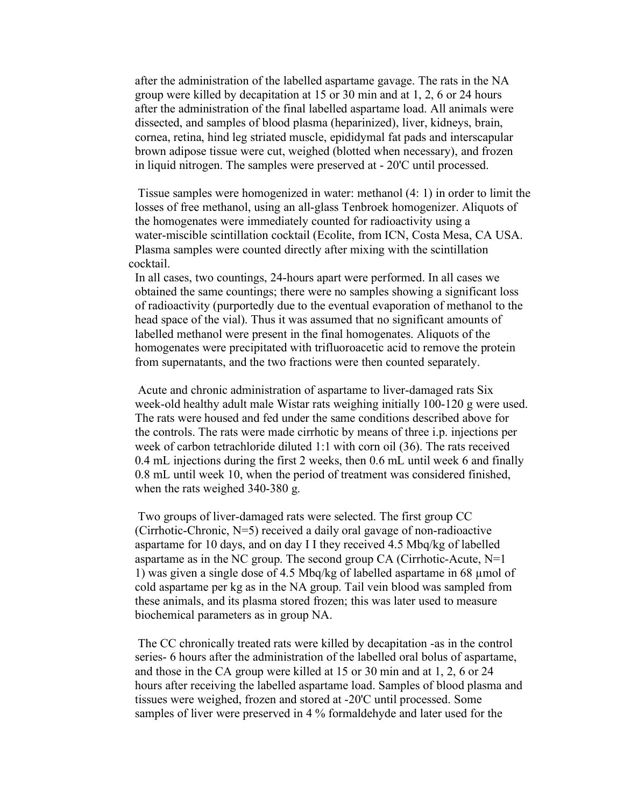after the administration of the labelled aspartame gavage. The rats in the NA group were killed by decapitation at 15 or 30 min and at 1, 2, 6 or 24 hours after the administration of the final labelled aspartame load. All animals were dissected, and samples of blood plasma (heparinized), liver, kidneys, brain, cornea, retina, hind leg striated muscle, epididymal fat pads and interscapular brown adipose tissue were cut, weighed (blotted when necessary), and frozen in liquid nitrogen. The samples were preserved at - 20'C until processed.

Tissue samples were homogenized in water: methanol (4: 1) in order to limit the losses of free methanol, using an all-glass Tenbroek homogenizer. Aliquots of the homogenates were immediately counted for radioactivity using a water-miscible scintillation cocktail (Ecolite, from ICN, Costa Mesa, CA USA. Plasma samples were counted directly after mixing with the scintillation cocktail.

In all cases, two countings, 24-hours apart were performed. In all cases we obtained the same countings; there were no samples showing a significant loss of radioactivity (purportedly due to the eventual evaporation of methanol to the head space of the vial). Thus it was assumed that no significant amounts of labelled methanol were present in the final homogenates. Aliquots of the homogenates were precipitated with trifluoroacetic acid to remove the protein from supernatants, and the two fractions were then counted separately.

Acute and chronic administration of aspartame to liver-damaged rats Six week-old healthy adult male Wistar rats weighing initially 100-120 g were used. The rats were housed and fed under the same conditions described above for the controls. The rats were made cirrhotic by means of three i.p. injections per week of carbon tetrachloride diluted 1:1 with corn oil (36). The rats received 0.4 mL injections during the first 2 weeks, then 0.6 mL until week 6 and finally 0.8 mL until week 10, when the period of treatment was considered finished, when the rats weighed 340-380 g.

Two groups of liver-damaged rats were selected. The first group CC (Cirrhotic-Chronic, N=5) received a daily oral gavage of non-radioactive aspartame for 10 days, and on day I I they received 4.5 Mbq/kg of labelled aspartame as in the NC group. The second group  $CA$  (Cirrhotic-Acute,  $N=1$ ) 1) was given a single dose of 4.5 Mbq/kg of labelled aspartame in 68 µmol of cold aspartame per kg as in the NA group. Tail vein blood was sampled from these animals, and its plasma stored frozen; this was later used to measure biochemical parameters as in group NA.

The CC chronically treated rats were killed by decapitation -as in the control series- 6 hours after the administration of the labelled oral bolus of aspartame, and those in the CA group were killed at 15 or 30 min and at 1, 2, 6 or 24 hours after receiving the labelled aspartame load. Samples of blood plasma and tissues were weighed, frozen and stored at -20'C until processed. Some samples of liver were preserved in 4 % formaldehyde and later used for the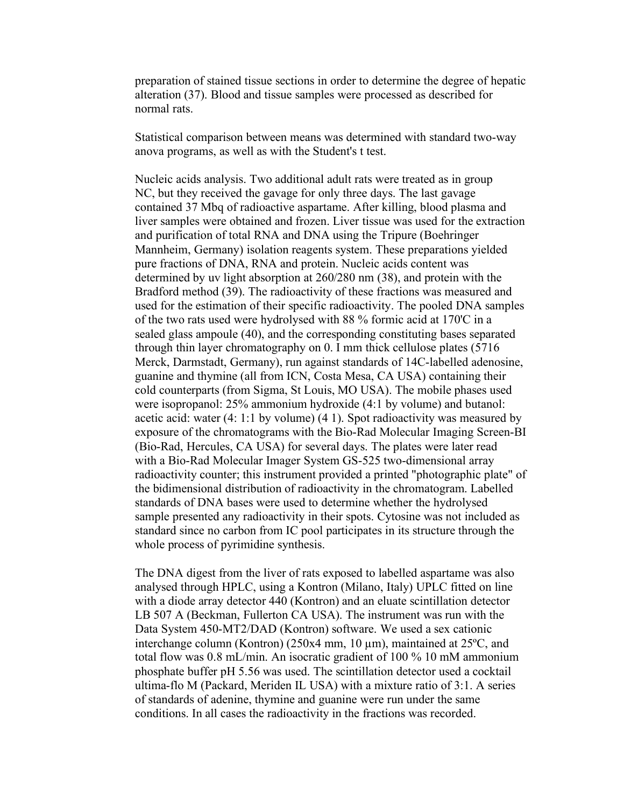preparation of stained tissue sections in order to determine the degree of hepatic alteration (37). Blood and tissue samples were processed as described for normal rats.

Statistical comparison between means was determined with standard two-way anova programs, as well as with the Student's t test.

Nucleic acids analysis. Two additional adult rats were treated as in group NC, but they received the gavage for only three days. The last gavage contained 37 Mbq of radioactive aspartame. After killing, blood plasma and liver samples were obtained and frozen. Liver tissue was used for the extraction and purification of total RNA and DNA using the Tripure (Boehringer Mannheim, Germany) isolation reagents system. These preparations yielded pure fractions of DNA, RNA and protein. Nucleic acids content was determined by uv light absorption at 260/280 nm (38), and protein with the Bradford method (39). The radioactivity of these fractions was measured and used for the estimation of their specific radioactivity. The pooled DNA samples of the two rats used were hydrolysed with 88 % formic acid at 170'C in a sealed glass ampoule (40), and the corresponding constituting bases separated through thin layer chromatography on 0. I mm thick cellulose plates (5716 Merck, Darmstadt, Germany), run against standards of 14C-labelled adenosine, guanine and thymine (all from ICN, Costa Mesa, CA USA) containing their cold counterparts (from Sigma, St Louis, MO USA). The mobile phases used were isopropanol: 25% ammonium hydroxide (4:1 by volume) and butanol: acetic acid: water (4: 1:1 by volume) (4 1). Spot radioactivity was measured by exposure of the chromatograms with the Bio-Rad Molecular Imaging Screen-BI (Bio-Rad, Hercules, CA USA) for several days. The plates were later read with a Bio-Rad Molecular Imager System GS-525 two-dimensional array radioactivity counter; this instrument provided a printed "photographic plate" of the bidimensional distribution of radioactivity in the chromatogram. Labelled standards of DNA bases were used to determine whether the hydrolysed sample presented any radioactivity in their spots. Cytosine was not included as standard since no carbon from IC pool participates in its structure through the whole process of pyrimidine synthesis.

The DNA digest from the liver of rats exposed to labelled aspartame was also analysed through HPLC, using a Kontron (Milano, Italy) UPLC fitted on line with a diode array detector 440 (Kontron) and an eluate scintillation detector LB 507 A (Beckman, Fullerton CA USA). The instrument was run with the Data System 450-MT2/DAD (Kontron) software. We used a sex cationic interchange column (Kontron) (250x4 mm, 10  $\mu$ m), maintained at 25 $\degree$ C, and total flow was 0.8 mL/min. An isocratic gradient of 100 % 10 mM ammonium phosphate buffer pH 5.56 was used. The scintillation detector used a cocktail ultima-flo M (Packard, Meriden IL USA) with a mixture ratio of 3:1. A series of standards of adenine, thymine and guanine were run under the same conditions. In all cases the radioactivity in the fractions was recorded.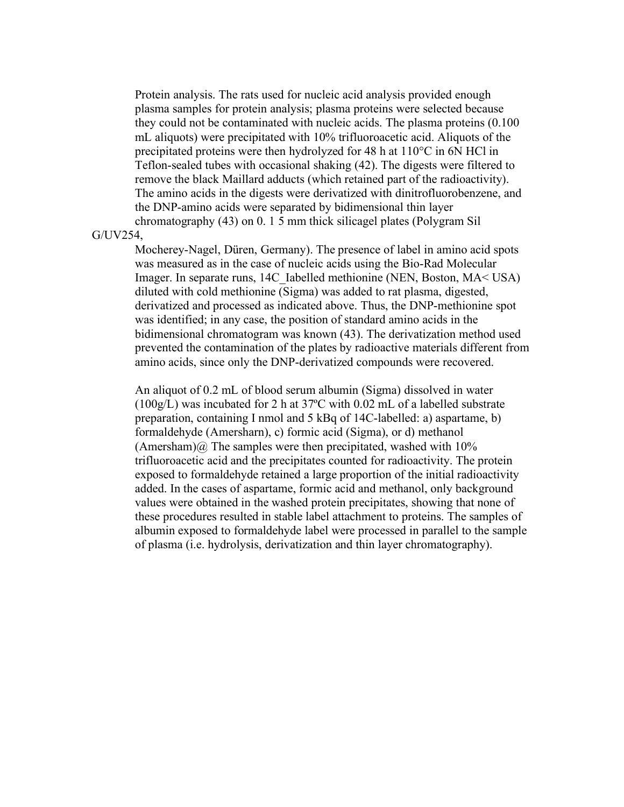Protein analysis. The rats used for nucleic acid analysis provided enough plasma samples for protein analysis; plasma proteins were selected because they could not be contaminated with nucleic acids. The plasma proteins (0.100 mL aliquots) were precipitated with 10% trifluoroacetic acid. Aliquots of the precipitated proteins were then hydrolyzed for 48 h at 110°C in 6N HCl in Teflon-sealed tubes with occasional shaking (42). The digests were filtered to remove the black Maillard adducts (which retained part of the radioactivity). The amino acids in the digests were derivatized with dinitrofluorobenzene, and the DNP-amino acids were separated by bidimensional thin layer chromatography (43) on 0. 1 5 mm thick silicagel plates (Polygram Sil

## G/UV254,

Mocherey-Nagel, Düren, Germany). The presence of label in amino acid spots was measured as in the case of nucleic acids using the Bio-Rad Molecular Imager. In separate runs, 14C\_Iabelled methionine (NEN, Boston, MA< USA) diluted with cold methionine (Sigma) was added to rat plasma, digested, derivatized and processed as indicated above. Thus, the DNP-methionine spot was identified; in any case, the position of standard amino acids in the bidimensional chromatogram was known (43). The derivatization method used prevented the contamination of the plates by radioactive materials different from amino acids, since only the DNP-derivatized compounds were recovered.

An aliquot of 0.2 mL of blood serum albumin (Sigma) dissolved in water  $(100g/L)$  was incubated for 2 h at 37°C with 0.02 mL of a labelled substrate preparation, containing I nmol and 5 kBq of 14C-labelled: a) aspartame, b) formaldehyde (Amersharn), c) formic acid (Sigma), or d) methanol  $(Amersham)@$  The samples were then precipitated, washed with 10% trifluoroacetic acid and the precipitates counted for radioactivity. The protein exposed to formaldehyde retained a large proportion of the initial radioactivity added. In the cases of aspartame, formic acid and methanol, only background values were obtained in the washed protein precipitates, showing that none of these procedures resulted in stable label attachment to proteins. The samples of albumin exposed to formaldehyde label were processed in parallel to the sample of plasma (i.e. hydrolysis, derivatization and thin layer chromatography).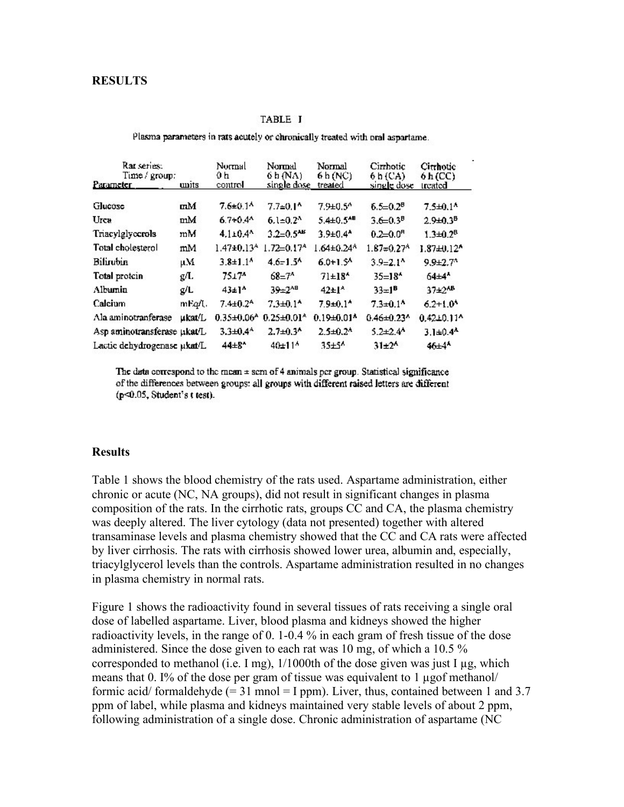#### TABLE I

Plasma parameters in rats acutely or chronically treated with oral aspartame.

| Rat series:<br>Time / group: |        | Normal<br>0 h                | Normal<br>6 <sub>b</sub> (NA) | Normal<br>6 b(NC)            | Cimbotic<br>$6h$ (CA)        | Citrhotic<br>$6h$ (CC)       |
|------------------------------|--------|------------------------------|-------------------------------|------------------------------|------------------------------|------------------------------|
| <u>Parameter</u>             | units  | control                      | single dose                   | treated                      | single dose                  | treated                      |
| Glucose                      | mМ     | $7.6 \pm 0.14$               | $7.7 \pm 0.1$ <sup>*</sup>    | $7.9 + 0.5^{\circ}$          | $6.5 = 0.2^{\circ}$          | $7.5 \pm 0.14$               |
| Urca                         | mM     | $6.7 + 0.4$ <sup>A</sup>     | $6.1 \pm 0.2$ <sup>*</sup>    | $5.4 \pm 0.5^{AB}$           | $3.6 - 0.3$ <sup>B</sup>     | $2.9 \pm 0.3$ <sup>B</sup>   |
| Triacylglyccrols             | mM     | $4.1 \pm 0.4^{\circ}$        | $3.2 - 0.5$ <sup>NB</sup>     | $3.9 + 0.4$                  | $0.2 - 0.05$                 | $1.3 \pm 0.2^B$              |
| Total cholesterol            | mM     | $1.47 \pm 0.13$ <sup>A</sup> | $1.72 \pm 0.17^{\circ}$       | $1.64 \pm 0.24$ <sup>A</sup> | $1.87 \pm 0.27$ <sup>A</sup> | $1.87 + 0.12$                |
| <b>Bilirubin</b>             | μM     | $3.8 \pm 1.1^{\circ}$        | $4.6 - 1.5A$                  | $6.0 + 1.5A$                 | $3.9 - 2.14$                 | $9.9 + 2.74$                 |
| Total protein                | gЛ.    | 7517*                        | $68 = 7^{\circ}$              | $71 + 18^4$                  | $35 = 184$                   | $64 + 4$                     |
| Albumin                      | øΙ     | $43 \pm 1$ <sup>4</sup>      | 39±2 <sup>^8</sup>            | $42 \pm 1^{\circ}$           | $33 - 18$                    | $37+2^{AB}$                  |
| Calcium                      | mEq/l. | $7.4 \pm 0.2^{\text{A}}$     | $7.3 \pm 0.1$ <sup>*</sup>    | $7.9 \pm 0.14$               | $7.3 \pm 0.1^{\circ}$        | $6.2 + 1.0$                  |
| Ala aminotranferase          | ukat/L | $0.35\pm0.06$ <sup>A</sup>   | $0.25 \pm 0.01^{\circ}$       | $0.19\pm0.01^{\circ}$        | $0.46 \pm 0.23$ <sup>*</sup> | $0.42 \pm 0.11$ <sup>A</sup> |
| Asp aminotransferase µkat/L  |        | $3.3 \pm 0.4^{\circ}$        | $2.7 \pm 0.3$ <sup>*</sup>    | $2.5 \pm 0.2$ <sup>A</sup>   | $5.2 + 2.4$                  | $3.1 \pm 0.4$ <sup>A</sup>   |
| Lactic dehydrogenase µkat/L  |        | $44 + 8^4$                   | $40 + 114$                    | $35 + 54$                    | $31\pm2^{4}$                 | $46 + 4^4$                   |

The data correspond to the mean  $\pm$  sem of 4 animals per group. Statistical significance of the differences between groups: all groups with different raised letters are different (p<0.05, Student's t test).

## **Results**

Table 1 shows the blood chemistry of the rats used. Aspartame administration, either chronic or acute (NC, NA groups), did not result in significant changes in plasma composition of the rats. In the cirrhotic rats, groups CC and CA, the plasma chemistry was deeply altered. The liver cytology (data not presented) together with altered transaminase levels and plasma chemistry showed that the CC and CA rats were affected by liver cirrhosis. The rats with cirrhosis showed lower urea, albumin and, especially, triacylglycerol levels than the controls. Aspartame administration resulted in no changes in plasma chemistry in normal rats.

Figure 1 shows the radioactivity found in several tissues of rats receiving a single oral dose of labelled aspartame. Liver, blood plasma and kidneys showed the higher radioactivity levels, in the range of 0. 1-0.4 % in each gram of fresh tissue of the dose administered. Since the dose given to each rat was 10 mg, of which a 10.5 % corresponded to methanol (i.e. I mg),  $1/1000$ th of the dose given was just I  $\mu$ g, which means that 0. I% of the dose per gram of tissue was equivalent to 1 µgof methanol/ formic acid/ formaldehyde  $(= 31 \text{ m}$ nol  $= I \text{ ppm})$ . Liver, thus, contained between 1 and 3.7 ppm of label, while plasma and kidneys maintained very stable levels of about 2 ppm, following administration of a single dose. Chronic administration of aspartame (NC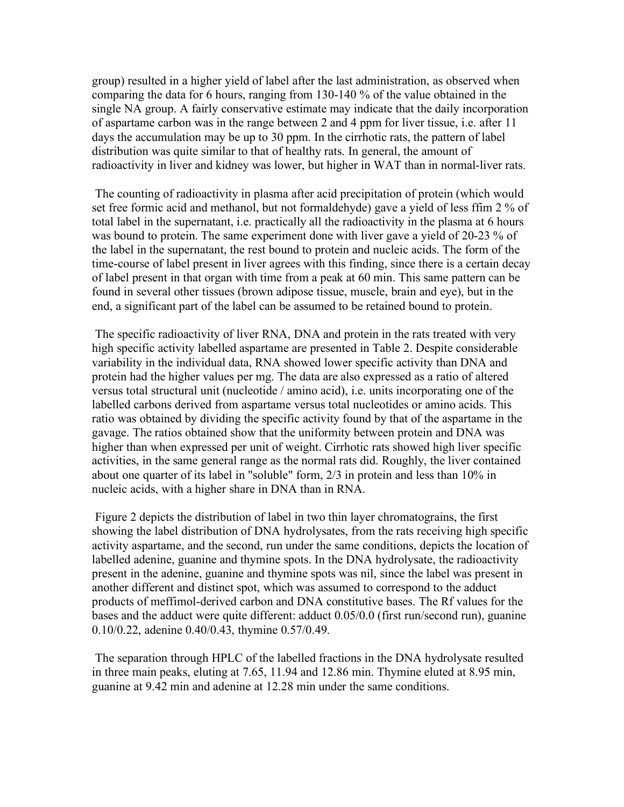group) resulted in a higher yield of label after the last administration, as observed when comparing the data for 6 hours, ranging from 130-140 % of the value obtained in the single NA group. A fairly conservative estimate may indicate that the daily incorporation of aspartame carbon was in the range between 2 and 4 ppm for liver tissue, i.e. after 11 days the accumulation may be up to 30 ppm. In the cirrhotic rats, the pattern of label distribution was quite similar to that of healthy rats. In general, the amount of radioactivity in liver and kidney was lower, but higher in WAT than in normal-liver rats.

The counting of radioactivity in plasma after acid precipitation of protein (which would set free formic acid and methanol, but not formaldehyde) gave a yield of less ffim 2 % of total label in the supernatant, i.e. practically all the radioactivity in the plasma at 6 hours was bound to protein. The same experiment done with liver gave a yield of 20-23 % of the label in the supernatant, the rest bound to protein and nucleic acids. The form of the time-course of label present in liver agrees with this finding, since there is a certain decay of label present in that organ with time from a peak at 60 min. This same pattern can be found in several other tissues (brown adipose tissue, muscle, brain and eye), but in the end, a significant part of the label can be assumed to be retained bound to protein.

The specific radioactivity of liver RNA, DNA and protein in the rats treated with very high specific activity labelled aspartame are presented in Table 2. Despite considerable variability in the individual data, RNA showed lower specific activity than DNA and protein had the higher values per mg. The data are also expressed as a ratio of altered versus total structural unit (nucleotide / amino acid), i.e. units incorporating one of the labelled carbons derived from aspartame versus total nucleotides or amino acids. This ratio was obtained by dividing the specific activity found by that of the aspartame in the gavage. The ratios obtained show that the uniformity between protein and DNA was higher than when expressed per unit of weight. Cirrhotic rats showed high liver specific activities, in the same general range as the normal rats did. Roughly, the liver contained about one quarter of its label in "soluble" form, 2/3 in protein and less than 10% in nucleic acids, with a higher share in DNA than in RNA.

Figure 2 depicts the distribution of label in two thin layer chromatograins, the first showing the label distribution of DNA hydrolysates, from the rats receiving high specific activity aspartame, and the second, run under the same conditions, depicts the location of labelled adenine, guanine and thymine spots. In the DNA hydrolysate, the radioactivity present in the adenine, guanine and thymine spots was nil, since the label was present in another different and distinct spot, which was assumed to correspond to the adduct products of meffimol-derived carbon and DNA constitutive bases. The Rf values for the bases and the adduct were quite different: adduct 0.05/0.0 (first run/second run), guanine 0.10/0.22, adenine 0.40/0.43, thymine 0.57/0.49.

The separation through HPLC of the labelled fractions in the DNA hydrolysate resulted in three main peaks, eluting at 7.65, 11.94 and 12.86 min. Thymine eluted at 8.95 min, guanine at 9.42 min and adenine at 12.28 min under the same conditions.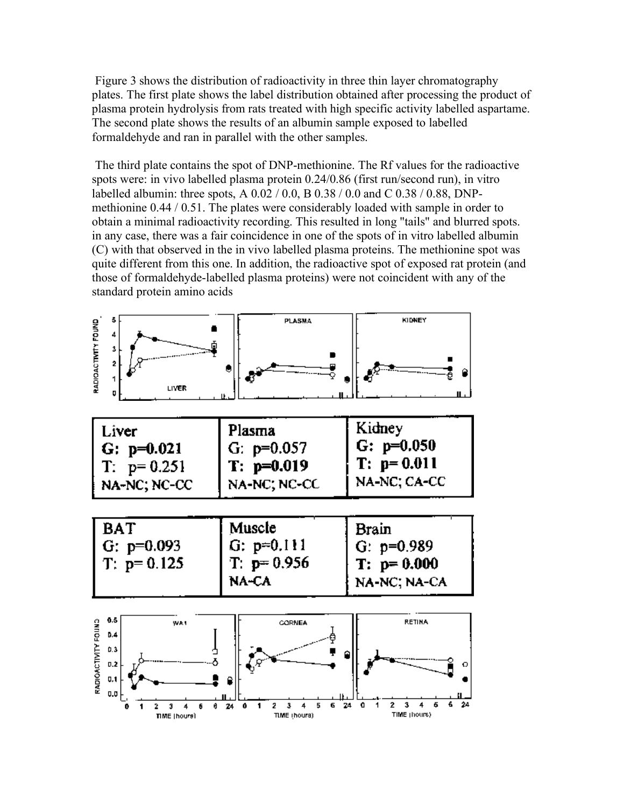Figure 3 shows the distribution of radioactivity in three thin layer chromatography plates. The first plate shows the label distribution obtained after processing the product of plasma protein hydrolysis from rats treated with high specific activity labelled aspartame. The second plate shows the results of an albumin sample exposed to labelled formaldehyde and ran in parallel with the other samples.

The third plate contains the spot of DNP-methionine. The Rf values for the radioactive spots were: in vivo labelled plasma protein 0.24/0.86 (first run/second run), in vitro labelled albumin: three spots, A 0.02 / 0.0, B 0.38 / 0.0 and C 0.38 / 0.88, DNPmethionine 0.44 / 0.51. The plates were considerably loaded with sample in order to obtain a minimal radioactivity recording. This resulted in long "tails" and blurred spots. in any case, there was a fair coincidence in one of the spots of in vitro labelled albumin (C) with that observed in the in vivo labelled plasma proteins. The methionine spot was quite different from this one. In addition, the radioactive spot of exposed rat protein (and those of formaldehyde-labelled plasma proteins) were not coincident with any of the standard protein amino acids







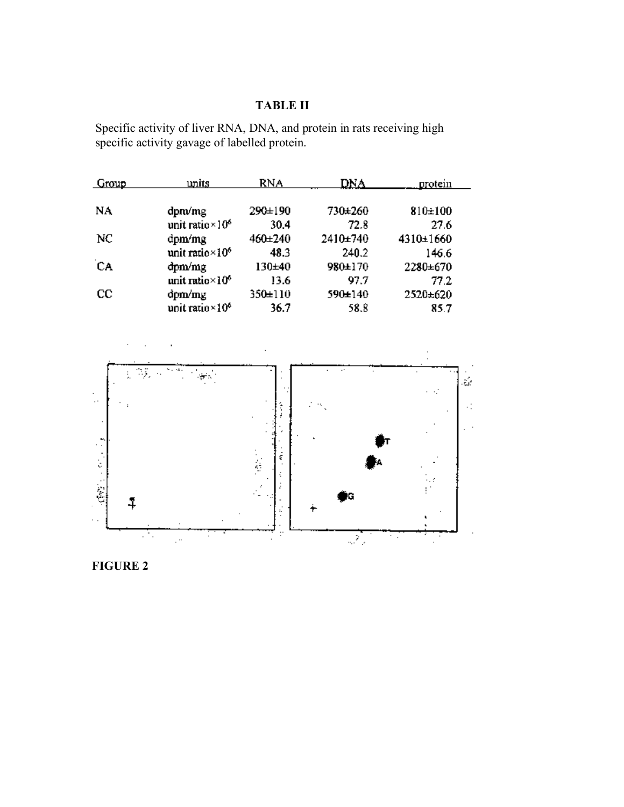# **TABLE II**

Specific activity of liver RNA, DNA, and protein in rats receiving high specific activity gavage of labelled protein.

| <b>Group</b> | units                               | RNA           | DNA      | protein     |
|--------------|-------------------------------------|---------------|----------|-------------|
|              |                                     |               |          |             |
| NA.          | dpm/mg                              | $290 \pm 190$ | 730±260  | $810\pm100$ |
|              | unit ratio $\times$ 10 <sup>6</sup> | 30.4          | 72.8     | 27.6        |
| NC           | dpm/mg                              | 460±240       | 2410±740 | 4310±1660   |
|              | unit ratio $\times 10^6$            | 48.3          | 240.2    | 146.6       |
| CA           | dpm/mg                              | 130±40        | 980±170  | 2280±670    |
|              | unit ratio $\times 10^6$            | 13.6          | 97.7     | 77.2        |
| $_{\rm CC}$  | dpm/mg                              | $350 \pm 110$ | 590±140  | 2520±620    |
|              | unit ratio × 10 <sup>6</sup>        | 36.7          | 58.8     | 85.7        |



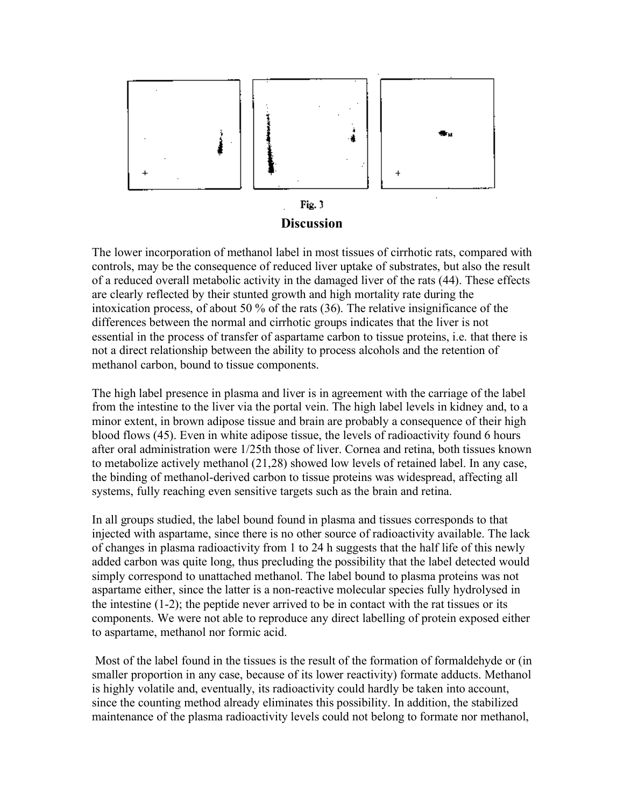

The lower incorporation of methanol label in most tissues of cirrhotic rats, compared with controls, may be the consequence of reduced liver uptake of substrates, but also the result of a reduced overall metabolic activity in the damaged liver of the rats (44). These effects are clearly reflected by their stunted growth and high mortality rate during the intoxication process, of about 50 % of the rats (36). The relative insignificance of the differences between the normal and cirrhotic groups indicates that the liver is not essential in the process of transfer of aspartame carbon to tissue proteins, i.e. that there is not a direct relationship between the ability to process alcohols and the retention of methanol carbon, bound to tissue components.

The high label presence in plasma and liver is in agreement with the carriage of the label from the intestine to the liver via the portal vein. The high label levels in kidney and, to a minor extent, in brown adipose tissue and brain are probably a consequence of their high blood flows (45). Even in white adipose tissue, the levels of radioactivity found 6 hours after oral administration were 1/25th those of liver. Cornea and retina, both tissues known to metabolize actively methanol (21,28) showed low levels of retained label. In any case, the binding of methanol-derived carbon to tissue proteins was widespread, affecting all systems, fully reaching even sensitive targets such as the brain and retina.

In all groups studied, the label bound found in plasma and tissues corresponds to that injected with aspartame, since there is no other source of radioactivity available. The lack of changes in plasma radioactivity from 1 to 24 h suggests that the half life of this newly added carbon was quite long, thus precluding the possibility that the label detected would simply correspond to unattached methanol. The label bound to plasma proteins was not aspartame either, since the latter is a non-reactive molecular species fully hydrolysed in the intestine  $(1-2)$ ; the peptide never arrived to be in contact with the rat tissues or its components. We were not able to reproduce any direct labelling of protein exposed either to aspartame, methanol nor formic acid.

Most of the label found in the tissues is the result of the formation of formaldehyde or (in smaller proportion in any case, because of its lower reactivity) formate adducts. Methanol is highly volatile and, eventually, its radioactivity could hardly be taken into account, since the counting method already eliminates this possibility. In addition, the stabilized maintenance of the plasma radioactivity levels could not belong to formate nor methanol,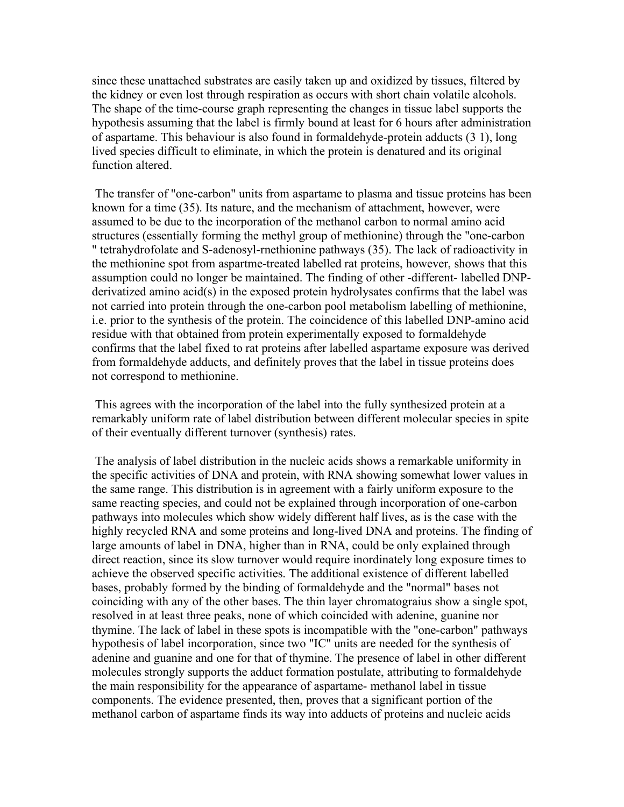since these unattached substrates are easily taken up and oxidized by tissues, filtered by the kidney or even lost through respiration as occurs with short chain volatile alcohols. The shape of the time-course graph representing the changes in tissue label supports the hypothesis assuming that the label is firmly bound at least for 6 hours after administration of aspartame. This behaviour is also found in formaldehyde-protein adducts (3 1), long lived species difficult to eliminate, in which the protein is denatured and its original function altered.

The transfer of "one-carbon" units from aspartame to plasma and tissue proteins has been known for a time (35). Its nature, and the mechanism of attachment, however, were assumed to be due to the incorporation of the methanol carbon to normal amino acid structures (essentially forming the methyl group of methionine) through the "one-carbon " tetrahydrofolate and S-adenosyl-rnethionine pathways (35). The lack of radioactivity in the methionine spot from aspartme-treated labelled rat proteins, however, shows that this assumption could no longer be maintained. The finding of other -different- labelled DNPderivatized amino acid(s) in the exposed protein hydrolysates confirms that the label was not carried into protein through the one-carbon pool metabolism labelling of methionine, i.e. prior to the synthesis of the protein. The coincidence of this labelled DNP-amino acid residue with that obtained from protein experimentally exposed to formaldehyde confirms that the label fixed to rat proteins after labelled aspartame exposure was derived from formaldehyde adducts, and definitely proves that the label in tissue proteins does not correspond to methionine.

This agrees with the incorporation of the label into the fully synthesized protein at a remarkably uniform rate of label distribution between different molecular species in spite of their eventually different turnover (synthesis) rates.

The analysis of label distribution in the nucleic acids shows a remarkable uniformity in the specific activities of DNA and protein, with RNA showing somewhat lower values in the same range. This distribution is in agreement with a fairly uniform exposure to the same reacting species, and could not be explained through incorporation of one-carbon pathways into molecules which show widely different half lives, as is the case with the highly recycled RNA and some proteins and long-lived DNA and proteins. The finding of large amounts of label in DNA, higher than in RNA, could be only explained through direct reaction, since its slow turnover would require inordinately long exposure times to achieve the observed specific activities. The additional existence of different labelled bases, probably formed by the binding of formaldehyde and the "normal" bases not coinciding with any of the other bases. The thin layer chromatograius show a single spot, resolved in at least three peaks, none of which coincided with adenine, guanine nor thymine. The lack of label in these spots is incompatible with the "one-carbon" pathways hypothesis of label incorporation, since two "IC" units are needed for the synthesis of adenine and guanine and one for that of thymine. The presence of label in other different molecules strongly supports the adduct formation postulate, attributing to formaldehyde the main responsibility for the appearance of aspartame- methanol label in tissue components. The evidence presented, then, proves that a significant portion of the methanol carbon of aspartame finds its way into adducts of proteins and nucleic acids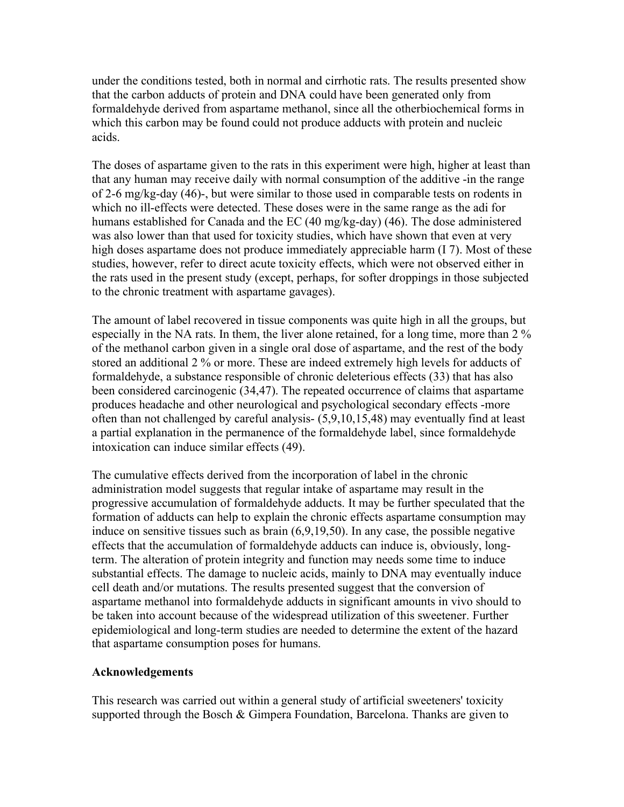under the conditions tested, both in normal and cirrhotic rats. The results presented show that the carbon adducts of protein and DNA could have been generated only from formaldehyde derived from aspartame methanol, since all the otherbiochemical forms in which this carbon may be found could not produce adducts with protein and nucleic acids.

The doses of aspartame given to the rats in this experiment were high, higher at least than that any human may receive daily with normal consumption of the additive -in the range of 2-6 mg/kg-day (46)-, but were similar to those used in comparable tests on rodents in which no ill-effects were detected. These doses were in the same range as the adi for humans established for Canada and the EC (40 mg/kg-day) (46). The dose administered was also lower than that used for toxicity studies, which have shown that even at very high doses aspartame does not produce immediately appreciable harm (I 7). Most of these studies, however, refer to direct acute toxicity effects, which were not observed either in the rats used in the present study (except, perhaps, for softer droppings in those subjected to the chronic treatment with aspartame gavages).

The amount of label recovered in tissue components was quite high in all the groups, but especially in the NA rats. In them, the liver alone retained, for a long time, more than 2 % of the methanol carbon given in a single oral dose of aspartame, and the rest of the body stored an additional 2 % or more. These are indeed extremely high levels for adducts of formaldehyde, a substance responsible of chronic deleterious effects (33) that has also been considered carcinogenic (34,47). The repeated occurrence of claims that aspartame produces headache and other neurological and psychological secondary effects -more often than not challenged by careful analysis- (5,9,10,15,48) may eventually find at least a partial explanation in the permanence of the formaldehyde label, since formaldehyde intoxication can induce similar effects (49).

The cumulative effects derived from the incorporation of label in the chronic administration model suggests that regular intake of aspartame may result in the progressive accumulation of formaldehyde adducts. It may be further speculated that the formation of adducts can help to explain the chronic effects aspartame consumption may induce on sensitive tissues such as brain (6,9,19,50). In any case, the possible negative effects that the accumulation of formaldehyde adducts can induce is, obviously, longterm. The alteration of protein integrity and function may needs some time to induce substantial effects. The damage to nucleic acids, mainly to DNA may eventually induce cell death and/or mutations. The results presented suggest that the conversion of aspartame methanol into formaldehyde adducts in significant amounts in vivo should to be taken into account because of the widespread utilization of this sweetener. Further epidemiological and long-term studies are needed to determine the extent of the hazard that aspartame consumption poses for humans.

## **Acknowledgements**

This research was carried out within a general study of artificial sweeteners' toxicity supported through the Bosch & Gimpera Foundation, Barcelona. Thanks are given to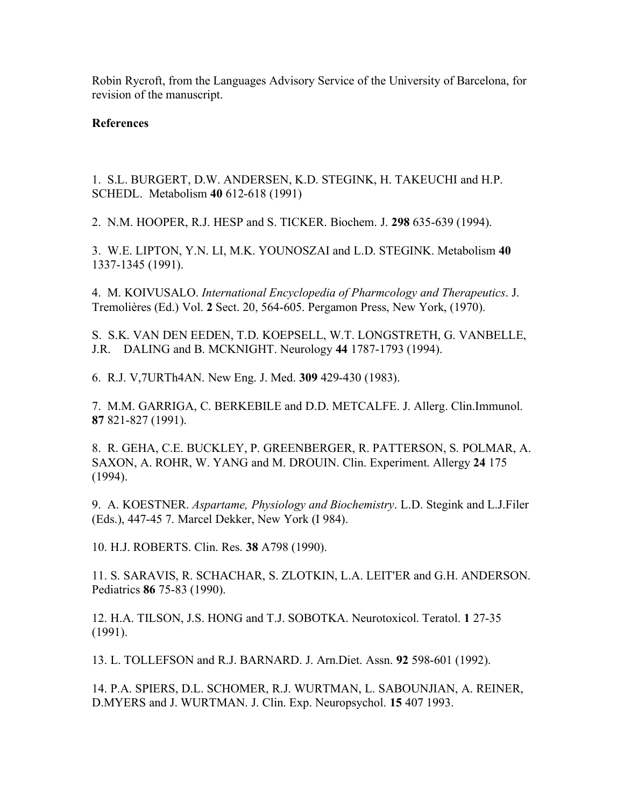Robin Rycroft, from the Languages Advisory Service of the University of Barcelona, for revision of the manuscript.

# **References**

1. S.L. BURGERT, D.W. ANDERSEN, K.D. STEGINK, H. TAKEUCHI and H.P. SCHEDL. Metabolism **40** 612-618 (1991)

2. N.M. HOOPER, R.J. HESP and S. TICKER. Biochem. J. **298** 635-639 (1994).

3. W.E. LIPTON, Y.N. LI, M.K. YOUNOSZAI and L.D. STEGINK. Metabolism **40** 1337-1345 (1991).

4. M. KOIVUSALO. *International Encyclopedia of Pharmcology and Therapeutics*. J. Tremolières (Ed.) Vol. **2** Sect. 20, 564-605. Pergamon Press, New York, (1970).

S. S.K. VAN DEN EEDEN, T.D. KOEPSELL, W.T. LONGSTRETH, G. VANBELLE, J.R. DALING and B. MCKNIGHT. Neurology **44** 1787-1793 (1994).

6. R.J. V,7URTh4AN. New Eng. J. Med. **309** 429-430 (1983).

7. M.M. GARRIGA, C. BERKEBILE and D.D. METCALFE. J. Allerg. Clin.Immunol. **87** 821-827 (1991).

8. R. GEHA, C.E. BUCKLEY, P. GREENBERGER, R. PATTERSON, S. POLMAR, A. SAXON, A. ROHR, W. YANG and M. DROUIN. Clin. Experiment. Allergy **24** 175 (1994).

9. A. KOESTNER. *Aspartame, Physiology and Biochemistry*. L.D. Stegink and L.J.Filer (Eds.), 447-45 7. Marcel Dekker, New York (I 984).

10. H.J. ROBERTS. Clin. Res. **38** A798 (1990).

11. S. SARAVIS, R. SCHACHAR, S. ZLOTKIN, L.A. LEIT'ER and G.H. ANDERSON. Pediatrics **86** 75-83 (1990).

12. H.A. TILSON, J.S. HONG and T.J. SOBOTKA. Neurotoxicol. Teratol. **1** 27-35 (1991).

13. L. TOLLEFSON and R.J. BARNARD. J. Arn.Diet. Assn. **92** 598-601 (1992).

14. P.A. SPIERS, D.L. SCHOMER, R.J. WURTMAN, L. SABOUNJIAN, A. REINER, D.MYERS and J. WURTMAN. J. Clin. Exp. Neuropsychol. **15** 407 1993.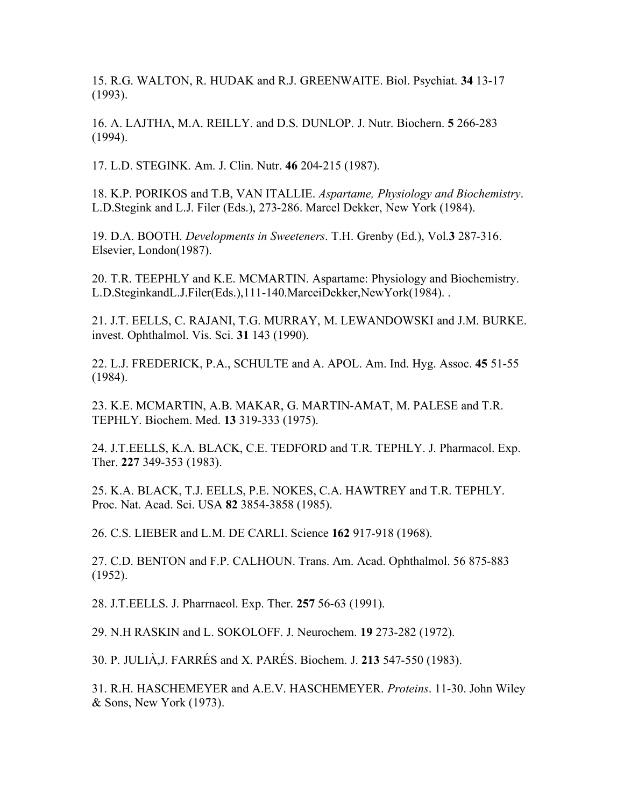15. R.G. WALTON, R. HUDAK and R.J. GREENWAITE. Biol. Psychiat. **34** 13-17 (1993).

16. A. LAJTHA, M.A. REILLY. and D.S. DUNLOP. J. Nutr. Biochern. **5** 266-283 (1994).

17. L.D. STEGINK. Am. J. Clin. Nutr. **46** 204-215 (1987).

18. K.P. PORIKOS and T.B, VAN ITALLIE. *Aspartame, Physiology and Biochemistry*. L.D.Stegink and L.J. Filer (Eds.), 273-286. Marcel Dekker, New York (1984).

19. D.A. BOOTH. *Developments in Sweeteners*. T.H. Grenby (Ed.), Vol.**3** 287-316. Elsevier, London(1987).

20. T.R. TEEPHLY and K.E. MCMARTIN. Aspartame: Physiology and Biochemistry. L.D.SteginkandL.J.Filer(Eds.),111-140.MarceiDekker,NewYork(1984). .

21. J.T. EELLS, C. RAJANI, T.G. MURRAY, M. LEWANDOWSKI and J.M. BURKE. invest. Ophthalmol. Vis. Sci. **31** 143 (1990).

22. L.J. FREDERICK, P.A., SCHULTE and A. APOL. Am. Ind. Hyg. Assoc. **45** 51-55 (1984).

23. K.E. MCMARTIN, A.B. MAKAR, G. MARTIN-AMAT, M. PALESE and T.R. TEPHLY. Biochem. Med. **13** 319-333 (1975).

24. J.T.EELLS, K.A. BLACK, C.E. TEDFORD and T.R. TEPHLY. J. Pharmacol. Exp. Ther. **227** 349-353 (1983).

25. K.A. BLACK, T.J. EELLS, P.E. NOKES, C.A. HAWTREY and T.R. TEPHLY. Proc. Nat. Acad. Sci. USA **82** 3854-3858 (1985).

26. C.S. LIEBER and L.M. DE CARLI. Science **162** 917-918 (1968).

27. C.D. BENTON and F.P. CALHOUN. Trans. Am. Acad. Ophthalmol. 56 875-883 (1952).

28. J.T.EELLS. J. Pharrnaeol. Exp. Ther. **257** 56-63 (1991).

29. N.H RASKIN and L. SOKOLOFF. J. Neurochem. **19** 273-282 (1972).

30. P. JULIÀ,J. FARRÉS and X. PARÉS. Biochem. J. **213** 547-550 (1983).

31. R.H. HASCHEMEYER and A.E.V. HASCHEMEYER. *Proteins*. 11-30. John Wiley & Sons, New York (1973).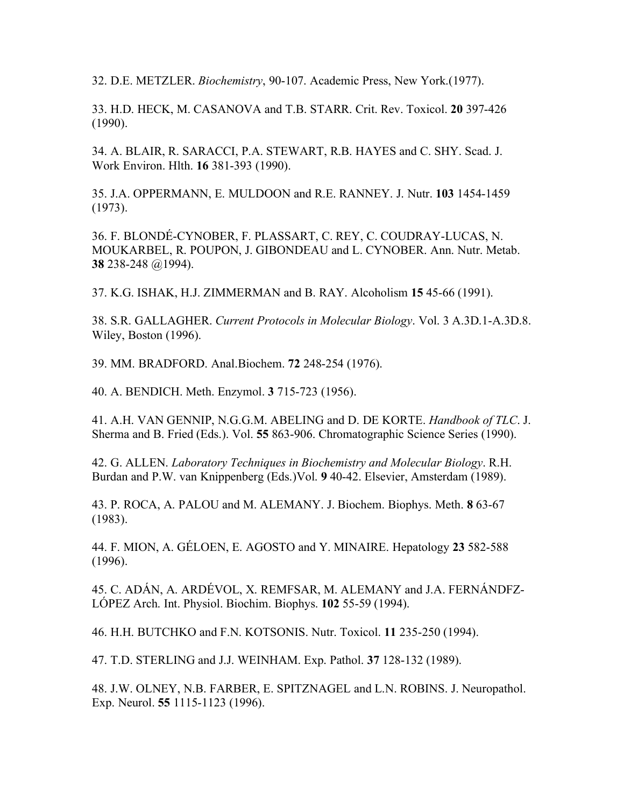32. D.E. METZLER. *Biochemistry*, 90-107. Academic Press, New York.(1977).

33. H.D. HECK, M. CASANOVA and T.B. STARR. Crit. Rev. Toxicol. **20** 397-426 (1990).

34. A. BLAIR, R. SARACCI, P.A. STEWART, R.B. HAYES and C. SHY. Scad. J. Work Environ. Hlth. **16** 381-393 (1990).

35. J.A. OPPERMANN, E. MULDOON and R.E. RANNEY. J. Nutr. **103** 1454-1459 (1973).

36. F. BLONDÉ-CYNOBER, F. PLASSART, C. REY, C. COUDRAY-LUCAS, N. MOUKARBEL, R. POUPON, J. GIBONDEAU and L. CYNOBER. Ann. Nutr. Metab. **38** 238-248 @1994).

37. K.G. ISHAK, H.J. ZIMMERMAN and B. RAY. Alcoholism **15** 45-66 (1991).

38. S.R. GALLAGHER. *Current Protocols in Molecular Biology*. Vol. 3 A.3D.1-A.3D.8. Wiley, Boston (1996).

39. MM. BRADFORD. Anal.Biochem. **72** 248-254 (1976).

40. A. BENDICH. Meth. Enzymol. **3** 715-723 (1956).

41. A.H. VAN GENNIP, N.G.G.M. ABELING and D. DE KORTE. *Handbook of TLC*. J. Sherma and B. Fried (Eds.). Vol. **55** 863-906. Chromatographic Science Series (1990).

42. G. ALLEN. *Laboratory Techniques in Biochemistry and Molecular Biology*. R.H. Burdan and P.W. van Knippenberg (Eds.)Vol. **9** 40-42. Elsevier, Amsterdam (1989).

43. P. ROCA, A. PALOU and M. ALEMANY. J. Biochem. Biophys. Meth. **8** 63-67 (1983).

44. F. MION, A. GÉLOEN, E. AGOSTO and Y. MINAIRE. Hepatology **23** 582-588 (1996).

45. C. ADÁN, A. ARDÉVOL, X. REMFSAR, M. ALEMANY and J.A. FERNÁNDFZ-LÓPEZ Arch. Int. Physiol. Biochim. Biophys. **102** 55-59 (1994).

46. H.H. BUTCHKO and F.N. KOTSONIS. Nutr. Toxicol. **11** 235-250 (1994).

47. T.D. STERLING and J.J. WEINHAM. Exp. Pathol. **37** 128-132 (1989).

48. J.W. OLNEY, N.B. FARBER, E. SPITZNAGEL and L.N. ROBINS. J. Neuropathol. Exp. Neurol. **55** 1115-1123 (1996).